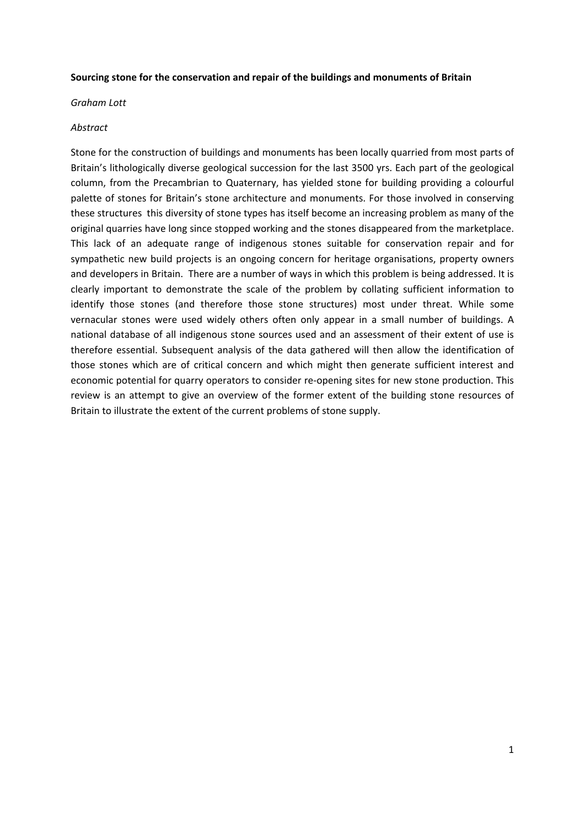#### **Sourcing stone for the conservation and repair of the buildings and monuments of Britain**

*Graham Lott*

#### *Abstract*

Stone for the construction of buildings and monuments has been locally quarried from most parts of Britain's lithologically diverse geological succession for the last 3500 yrs. Each part of the geological column, from the Precambrian to Quaternary, has yielded stone for building providing a colourful palette of stones for Britain's stone architecture and monuments. For those involved in conserving these structures this diversity of stone types has itself become an increasing problem as many of the original quarries have long since stopped working and the stones disappeared from the marketplace. This lack of an adequate range of indigenous stones suitable for conservation repair and for sympathetic new build projects is an ongoing concern for heritage organisations, property owners and developers in Britain. There are a number of ways in which this problem is being addressed. It is clearly important to demonstrate the scale of the problem by collating sufficient information to identify those stones (and therefore those stone structures) most under threat. While some vernacular stones were used widely others often only appear in a small number of buildings. A national database of all indigenous stone sources used and an assessment of their extent of use is therefore essential. Subsequent analysis of the data gathered will then allow the identification of those stones which are of critical concern and which might then generate sufficient interest and economic potential for quarry operators to consider re-opening sites for new stone production. This review is an attempt to give an overview of the former extent of the building stone resources of Britain to illustrate the extent of the current problems of stone supply.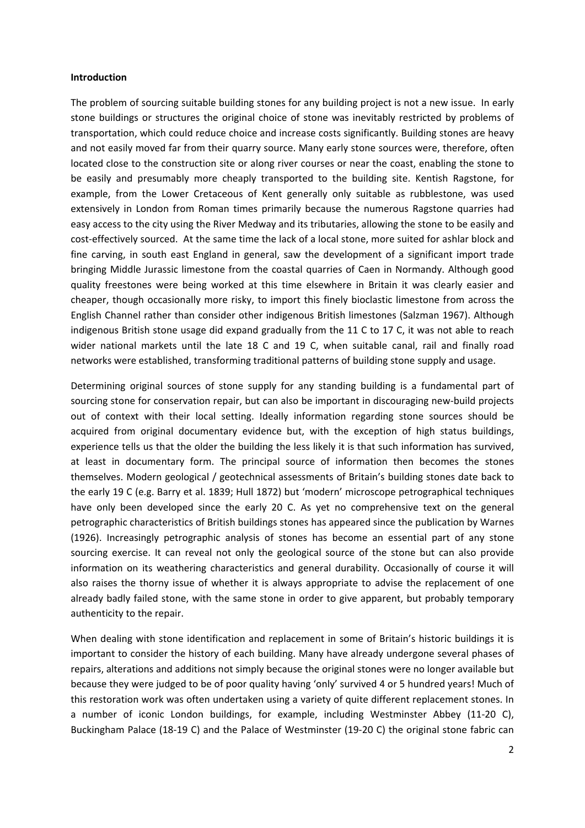#### **Introduction**

The problem of sourcing suitable building stones for any building project is not a new issue. In early stone buildings or structures the original choice of stone was inevitably restricted by problems of transportation, which could reduce choice and increase costs significantly. Building stones are heavy and not easily moved far from their quarry source. Many early stone sources were, therefore, often located close to the construction site or along river courses or near the coast, enabling the stone to be easily and presumably more cheaply transported to the building site. Kentish Ragstone, for example, from the Lower Cretaceous of Kent generally only suitable as rubblestone, was used extensively in London from Roman times primarily because the numerous Ragstone quarries had easy access to the city using the River Medway and its tributaries, allowing the stone to be easily and cost-effectively sourced. At the same time the lack of a local stone, more suited for ashlar block and fine carving, in south east England in general, saw the development of a significant import trade bringing Middle Jurassic limestone from the coastal quarries of Caen in Normandy. Although good quality freestones were being worked at this time elsewhere in Britain it was clearly easier and cheaper, though occasionally more risky, to import this finely bioclastic limestone from across the English Channel rather than consider other indigenous British limestones (Salzman 1967). Although indigenous British stone usage did expand gradually from the 11 C to 17 C, it was not able to reach wider national markets until the late 18 C and 19 C, when suitable canal, rail and finally road networks were established, transforming traditional patterns of building stone supply and usage.

Determining original sources of stone supply for any standing building is a fundamental part of sourcing stone for conservation repair, but can also be important in discouraging new‐build projects out of context with their local setting. Ideally information regarding stone sources should be acquired from original documentary evidence but, with the exception of high status buildings, experience tells us that the older the building the less likely it is that such information has survived, at least in documentary form. The principal source of information then becomes the stones themselves. Modern geological / geotechnical assessments of Britain's building stones date back to the early 19 C (e.g. Barry et al. 1839; Hull 1872) but 'modern' microscope petrographical techniques have only been developed since the early 20 C. As yet no comprehensive text on the general petrographic characteristics of British buildings stones has appeared since the publication by Warnes (1926). Increasingly petrographic analysis of stones has become an essential part of any stone sourcing exercise. It can reveal not only the geological source of the stone but can also provide information on its weathering characteristics and general durability. Occasionally of course it will also raises the thorny issue of whether it is always appropriate to advise the replacement of one already badly failed stone, with the same stone in order to give apparent, but probably temporary authenticity to the repair.

When dealing with stone identification and replacement in some of Britain's historic buildings it is important to consider the history of each building. Many have already undergone several phases of repairs, alterations and additions not simply because the original stones were no longer available but because they were judged to be of poor quality having 'only' survived 4 or 5 hundred years! Much of this restoration work was often undertaken using a variety of quite different replacement stones. In a number of iconic London buildings, for example, including Westminster Abbey (11‐20 C), Buckingham Palace (18‐19 C) and the Palace of Westminster (19‐20 C) the original stone fabric can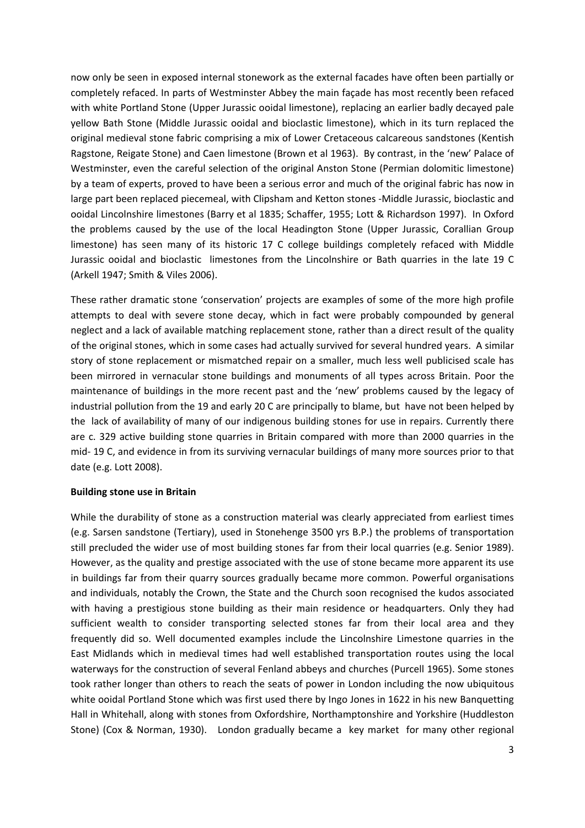now only be seen in exposed internal stonework as the external facades have often been partially or completely refaced. In parts of Westminster Abbey the main façade has most recently been refaced with white Portland Stone (Upper Jurassic ooidal limestone), replacing an earlier badly decayed pale yellow Bath Stone (Middle Jurassic ooidal and bioclastic limestone), which in its turn replaced the original medieval stone fabric comprising a mix of Lower Cretaceous calcareous sandstones (Kentish Ragstone, Reigate Stone) and Caen limestone (Brown et al 1963). By contrast, in the 'new' Palace of Westminster, even the careful selection of the original Anston Stone (Permian dolomitic limestone) by a team of experts, proved to have been a serious error and much of the original fabric has now in large part been replaced piecemeal, with Clipsham and Ketton stones ‐Middle Jurassic, bioclastic and ooidal Lincolnshire limestones (Barry et al 1835; Schaffer, 1955; Lott & Richardson 1997). In Oxford the problems caused by the use of the local Headington Stone (Upper Jurassic, Corallian Group limestone) has seen many of its historic 17 C college buildings completely refaced with Middle Jurassic ooidal and bioclastic limestones from the Lincolnshire or Bath quarries in the late 19 C (Arkell 1947; Smith & Viles 2006).

These rather dramatic stone 'conservation' projects are examples of some of the more high profile attempts to deal with severe stone decay, which in fact were probably compounded by general neglect and a lack of available matching replacement stone, rather than a direct result of the quality of the original stones, which in some cases had actually survived for several hundred years. A similar story of stone replacement or mismatched repair on a smaller, much less well publicised scale has been mirrored in vernacular stone buildings and monuments of all types across Britain. Poor the maintenance of buildings in the more recent past and the 'new' problems caused by the legacy of industrial pollution from the 19 and early 20 C are principally to blame, but have not been helped by the lack of availability of many of our indigenous building stones for use in repairs. Currently there are c. 329 active building stone quarries in Britain compared with more than 2000 quarries in the mid‐ 19 C, and evidence in from its surviving vernacular buildings of many more sources prior to that date (e.g. Lott 2008).

## **Building stone use in Britain**

While the durability of stone as a construction material was clearly appreciated from earliest times (e.g. Sarsen sandstone (Tertiary), used in Stonehenge 3500 yrs B.P.) the problems of transportation still precluded the wider use of most building stones far from their local quarries (e.g. Senior 1989). However, as the quality and prestige associated with the use of stone became more apparent its use in buildings far from their quarry sources gradually became more common. Powerful organisations and individuals, notably the Crown, the State and the Church soon recognised the kudos associated with having a prestigious stone building as their main residence or headquarters. Only they had sufficient wealth to consider transporting selected stones far from their local area and they frequently did so. Well documented examples include the Lincolnshire Limestone quarries in the East Midlands which in medieval times had well established transportation routes using the local waterways for the construction of several Fenland abbeys and churches (Purcell 1965). Some stones took rather longer than others to reach the seats of power in London including the now ubiquitous white ooidal Portland Stone which was first used there by Ingo Jones in 1622 in his new Banquetting Hall in Whitehall, along with stones from Oxfordshire, Northamptonshire and Yorkshire (Huddleston Stone) (Cox & Norman, 1930). London gradually became a key market for many other regional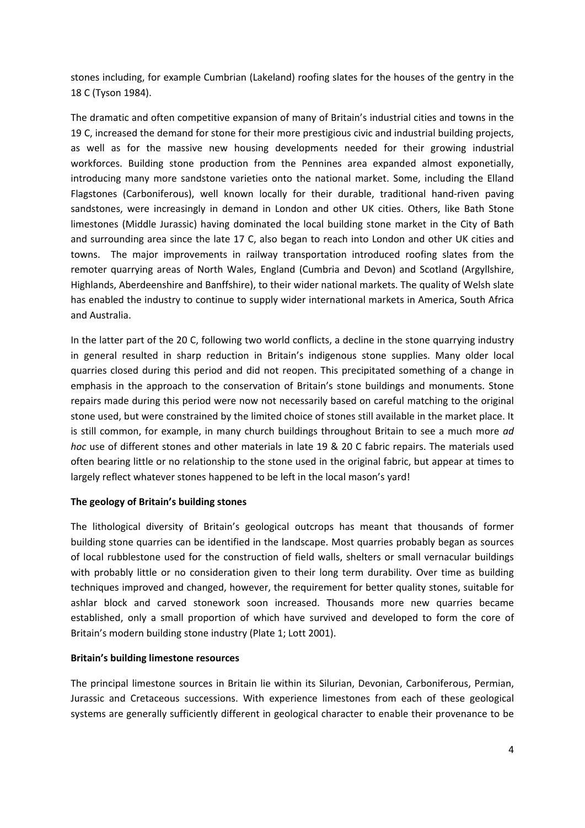stones including, for example Cumbrian (Lakeland) roofing slates for the houses of the gentry in the 18 C (Tyson 1984).

The dramatic and often competitive expansion of many of Britain's industrial cities and towns in the 19 C, increased the demand for stone for their more prestigious civic and industrial building projects, as well as for the massive new housing developments needed for their growing industrial workforces. Building stone production from the Pennines area expanded almost exponetially, introducing many more sandstone varieties onto the national market. Some, including the Elland Flagstones (Carboniferous), well known locally for their durable, traditional hand-riven paving sandstones, were increasingly in demand in London and other UK cities. Others, like Bath Stone limestones (Middle Jurassic) having dominated the local building stone market in the City of Bath and surrounding area since the late 17 C, also began to reach into London and other UK cities and towns. The major improvements in railway transportation introduced roofing slates from the remoter quarrying areas of North Wales, England (Cumbria and Devon) and Scotland (Argyllshire, Highlands, Aberdeenshire and Banffshire), to their wider national markets. The quality of Welsh slate has enabled the industry to continue to supply wider international markets in America, South Africa and Australia.

In the latter part of the 20 C, following two world conflicts, a decline in the stone quarrying industry in general resulted in sharp reduction in Britain's indigenous stone supplies. Many older local quarries closed during this period and did not reopen. This precipitated something of a change in emphasis in the approach to the conservation of Britain's stone buildings and monuments. Stone repairs made during this period were now not necessarily based on careful matching to the original stone used, but were constrained by the limited choice of stones still available in the market place. It is still common, for example, in many church buildings throughout Britain to see a much more *ad hoc* use of different stones and other materials in late 19 & 20 C fabric repairs. The materials used often bearing little or no relationship to the stone used in the original fabric, but appear at times to largely reflect whatever stones happened to be left in the local mason's yard!

## **The geology of Britain's building stones**

The lithological diversity of Britain's geological outcrops has meant that thousands of former building stone quarries can be identified in the landscape. Most quarries probably began as sources of local rubblestone used for the construction of field walls, shelters or small vernacular buildings with probably little or no consideration given to their long term durability. Over time as building techniques improved and changed, however, the requirement for better quality stones, suitable for ashlar block and carved stonework soon increased. Thousands more new quarries became established, only a small proportion of which have survived and developed to form the core of Britain's modern building stone industry (Plate 1; Lott 2001).

## **Britain's building limestone resources**

The principal limestone sources in Britain lie within its Silurian, Devonian, Carboniferous, Permian, Jurassic and Cretaceous successions. With experience limestones from each of these geological systems are generally sufficiently different in geological character to enable their provenance to be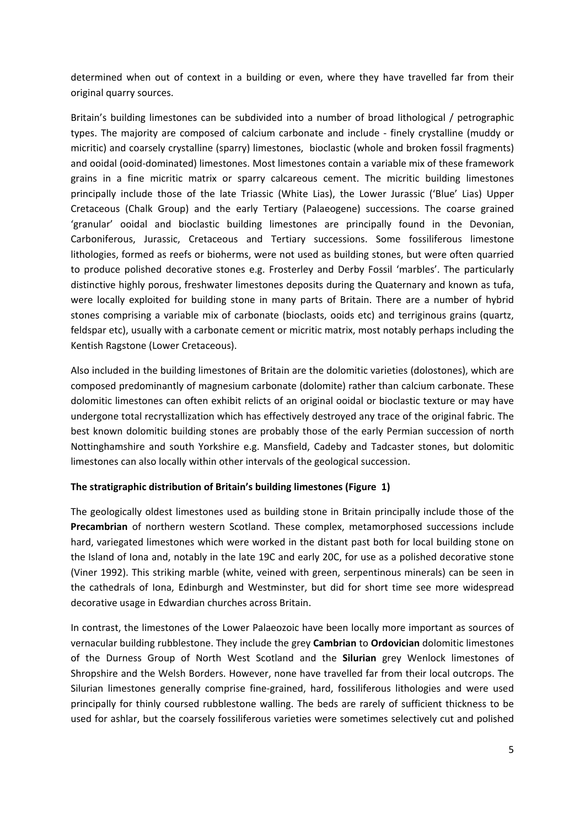determined when out of context in a building or even, where they have travelled far from their original quarry sources.

Britain's building limestones can be subdivided into a number of broad lithological / petrographic types. The majority are composed of calcium carbonate and include ‐ finely crystalline (muddy or micritic) and coarsely crystalline (sparry) limestones, bioclastic (whole and broken fossil fragments) and ooidal (ooid‐dominated) limestones. Most limestones contain a variable mix of these framework grains in a fine micritic matrix or sparry calcareous cement. The micritic building limestones principally include those of the late Triassic (White Lias), the Lower Jurassic ('Blue' Lias) Upper Cretaceous (Chalk Group) and the early Tertiary (Palaeogene) successions. The coarse grained 'granular' ooidal and bioclastic building limestones are principally found in the Devonian, Carboniferous, Jurassic, Cretaceous and Tertiary successions. Some fossiliferous limestone lithologies, formed as reefs or bioherms, were not used as building stones, but were often quarried to produce polished decorative stones e.g. Frosterley and Derby Fossil 'marbles'. The particularly distinctive highly porous, freshwater limestones deposits during the Quaternary and known as tufa, were locally exploited for building stone in many parts of Britain. There are a number of hybrid stones comprising a variable mix of carbonate (bioclasts, ooids etc) and terriginous grains (quartz, feldspar etc), usually with a carbonate cement or micritic matrix, most notably perhaps including the Kentish Ragstone (Lower Cretaceous).

Also included in the building limestones of Britain are the dolomitic varieties (dolostones), which are composed predominantly of magnesium carbonate (dolomite) rather than calcium carbonate. These dolomitic limestones can often exhibit relicts of an original ooidal or bioclastic texture or may have undergone total recrystallization which has effectively destroyed any trace of the original fabric. The best known dolomitic building stones are probably those of the early Permian succession of north Nottinghamshire and south Yorkshire e.g. Mansfield, Cadeby and Tadcaster stones, but dolomitic limestones can also locally within other intervals of the geological succession.

# **The stratigraphic distribution of Britain's building limestones (Figure 1)**

The geologically oldest limestones used as building stone in Britain principally include those of the **Precambrian** of northern western Scotland. These complex, metamorphosed successions include hard, variegated limestones which were worked in the distant past both for local building stone on the Island of Iona and, notably in the late 19C and early 20C, for use as a polished decorative stone (Viner 1992). This striking marble (white, veined with green, serpentinous minerals) can be seen in the cathedrals of Iona, Edinburgh and Westminster, but did for short time see more widespread decorative usage in Edwardian churches across Britain.

In contrast, the limestones of the Lower Palaeozoic have been locally more important as sources of vernacular building rubblestone. They include the grey **Cambrian** to **Ordovician** dolomitic limestones of the Durness Group of North West Scotland and the **Silurian** grey Wenlock limestones of Shropshire and the Welsh Borders. However, none have travelled far from their local outcrops. The Silurian limestones generally comprise fine‐grained, hard, fossiliferous lithologies and were used principally for thinly coursed rubblestone walling. The beds are rarely of sufficient thickness to be used for ashlar, but the coarsely fossiliferous varieties were sometimes selectively cut and polished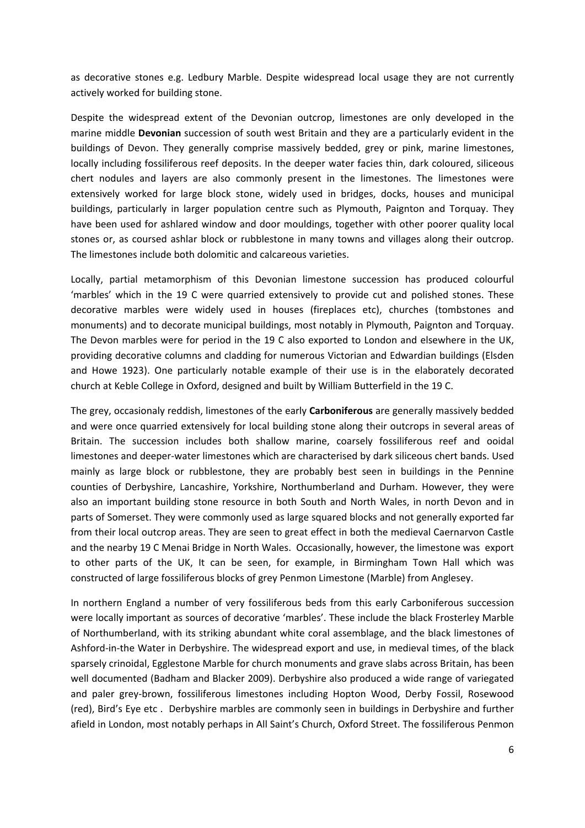as decorative stones e.g. Ledbury Marble. Despite widespread local usage they are not currently actively worked for building stone.

Despite the widespread extent of the Devonian outcrop, limestones are only developed in the marine middle **Devonian** succession of south west Britain and they are a particularly evident in the buildings of Devon. They generally comprise massively bedded, grey or pink, marine limestones, locally including fossiliferous reef deposits. In the deeper water facies thin, dark coloured, siliceous chert nodules and layers are also commonly present in the limestones. The limestones were extensively worked for large block stone, widely used in bridges, docks, houses and municipal buildings, particularly in larger population centre such as Plymouth, Paignton and Torquay. They have been used for ashlared window and door mouldings, together with other poorer quality local stones or, as coursed ashlar block or rubblestone in many towns and villages along their outcrop. The limestones include both dolomitic and calcareous varieties.

Locally, partial metamorphism of this Devonian limestone succession has produced colourful 'marbles' which in the 19 C were quarried extensively to provide cut and polished stones. These decorative marbles were widely used in houses (fireplaces etc), churches (tombstones and monuments) and to decorate municipal buildings, most notably in Plymouth, Paignton and Torquay. The Devon marbles were for period in the 19 C also exported to London and elsewhere in the UK, providing decorative columns and cladding for numerous Victorian and Edwardian buildings (Elsden and Howe 1923). One particularly notable example of their use is in the elaborately decorated church at Keble College in Oxford, designed and built by William Butterfield in the 19 C.

The grey, occasionaly reddish, limestones of the early **Carboniferous** are generally massively bedded and were once quarried extensively for local building stone along their outcrops in several areas of Britain. The succession includes both shallow marine, coarsely fossiliferous reef and ooidal limestones and deeper‐water limestones which are characterised by dark siliceous chert bands. Used mainly as large block or rubblestone, they are probably best seen in buildings in the Pennine counties of Derbyshire, Lancashire, Yorkshire, Northumberland and Durham. However, they were also an important building stone resource in both South and North Wales, in north Devon and in parts of Somerset. They were commonly used as large squared blocks and not generally exported far from their local outcrop areas. They are seen to great effect in both the medieval Caernarvon Castle and the nearby 19 C Menai Bridge in North Wales. Occasionally, however, the limestone was export to other parts of the UK, It can be seen, for example, in Birmingham Town Hall which was constructed of large fossiliferous blocks of grey Penmon Limestone (Marble) from Anglesey.

In northern England a number of very fossiliferous beds from this early Carboniferous succession were locally important as sources of decorative 'marbles'. These include the black Frosterley Marble of Northumberland, with its striking abundant white coral assemblage, and the black limestones of Ashford‐in‐the Water in Derbyshire. The widespread export and use, in medieval times, of the black sparsely crinoidal, Egglestone Marble for church monuments and grave slabs across Britain, has been well documented (Badham and Blacker 2009). Derbyshire also produced a wide range of variegated and paler grey‐brown, fossiliferous limestones including Hopton Wood, Derby Fossil, Rosewood (red), Bird's Eye etc . Derbyshire marbles are commonly seen in buildings in Derbyshire and further afield in London, most notably perhaps in All Saint's Church, Oxford Street. The fossiliferous Penmon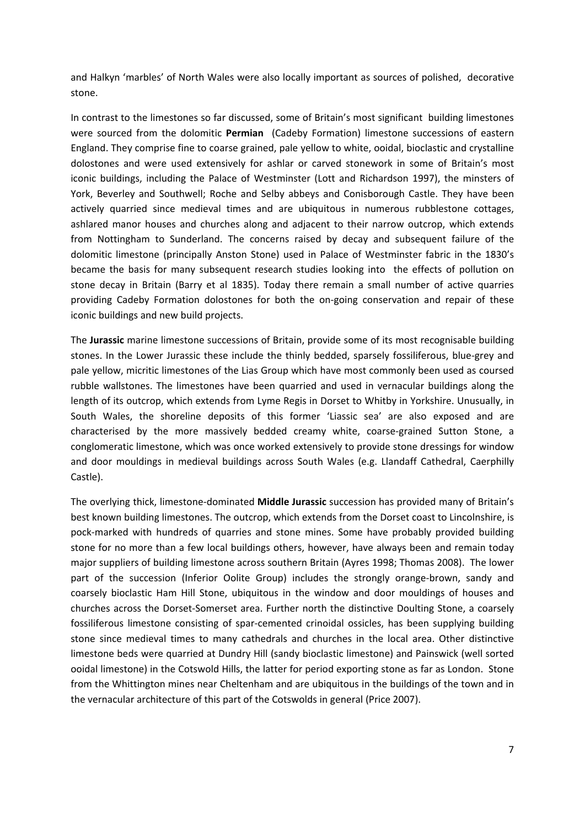and Halkyn 'marbles' of North Wales were also locally important as sources of polished, decorative stone.

In contrast to the limestones so far discussed, some of Britain's most significant building limestones were sourced from the dolomitic **Permian** (Cadeby Formation) limestone successions of eastern England. They comprise fine to coarse grained, pale yellow to white, ooidal, bioclastic and crystalline dolostones and were used extensively for ashlar or carved stonework in some of Britain's most iconic buildings, including the Palace of Westminster (Lott and Richardson 1997), the minsters of York, Beverley and Southwell; Roche and Selby abbeys and Conisborough Castle. They have been actively quarried since medieval times and are ubiquitous in numerous rubblestone cottages, ashlared manor houses and churches along and adjacent to their narrow outcrop, which extends from Nottingham to Sunderland. The concerns raised by decay and subsequent failure of the dolomitic limestone (principally Anston Stone) used in Palace of Westminster fabric in the 1830's became the basis for many subsequent research studies looking into the effects of pollution on stone decay in Britain (Barry et al 1835). Today there remain a small number of active quarries providing Cadeby Formation dolostones for both the on‐going conservation and repair of these iconic buildings and new build projects.

The **Jurassic** marine limestone successions of Britain, provide some of its most recognisable building stones. In the Lower Jurassic these include the thinly bedded, sparsely fossiliferous, blue‐grey and pale yellow, micritic limestones of the Lias Group which have most commonly been used as coursed rubble wallstones. The limestones have been quarried and used in vernacular buildings along the length of its outcrop, which extends from Lyme Regis in Dorset to Whitby in Yorkshire. Unusually, in South Wales, the shoreline deposits of this former 'Liassic sea' are also exposed and are characterised by the more massively bedded creamy white, coarse-grained Sutton Stone, a conglomeratic limestone, which was once worked extensively to provide stone dressings for window and door mouldings in medieval buildings across South Wales (e.g. Llandaff Cathedral, Caerphilly Castle).

The overlying thick, limestone‐dominated **Middle Jurassic** succession has provided many of Britain's best known building limestones. The outcrop, which extends from the Dorset coast to Lincolnshire, is pock‐marked with hundreds of quarries and stone mines. Some have probably provided building stone for no more than a few local buildings others, however, have always been and remain today major suppliers of building limestone across southern Britain (Ayres 1998; Thomas 2008). The lower part of the succession (Inferior Oolite Group) includes the strongly orange-brown, sandy and coarsely bioclastic Ham Hill Stone, ubiquitous in the window and door mouldings of houses and churches across the Dorset‐Somerset area. Further north the distinctive Doulting Stone, a coarsely fossiliferous limestone consisting of spar‐cemented crinoidal ossicles, has been supplying building stone since medieval times to many cathedrals and churches in the local area. Other distinctive limestone beds were quarried at Dundry Hill (sandy bioclastic limestone) and Painswick (well sorted ooidal limestone) in the Cotswold Hills, the latter for period exporting stone as far as London. Stone from the Whittington mines near Cheltenham and are ubiquitous in the buildings of the town and in the vernacular architecture of this part of the Cotswolds in general (Price 2007).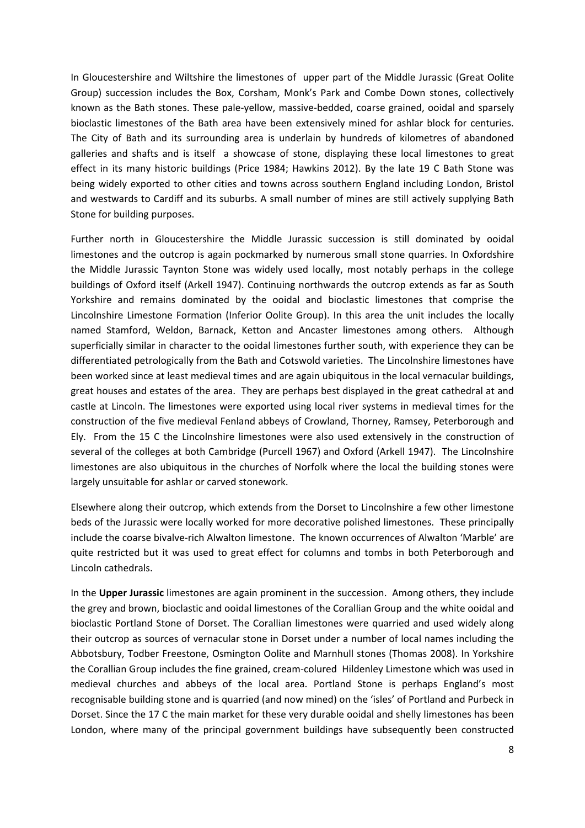In Gloucestershire and Wiltshire the limestones of upper part of the Middle Jurassic (Great Oolite Group) succession includes the Box, Corsham, Monk's Park and Combe Down stones, collectively known as the Bath stones. These pale-yellow, massive-bedded, coarse grained, ooidal and sparsely bioclastic limestones of the Bath area have been extensively mined for ashlar block for centuries. The City of Bath and its surrounding area is underlain by hundreds of kilometres of abandoned galleries and shafts and is itself a showcase of stone, displaying these local limestones to great effect in its many historic buildings (Price 1984; Hawkins 2012). By the late 19 C Bath Stone was being widely exported to other cities and towns across southern England including London, Bristol and westwards to Cardiff and its suburbs. A small number of mines are still actively supplying Bath Stone for building purposes.

Further north in Gloucestershire the Middle Jurassic succession is still dominated by ooidal limestones and the outcrop is again pockmarked by numerous small stone quarries. In Oxfordshire the Middle Jurassic Taynton Stone was widely used locally, most notably perhaps in the college buildings of Oxford itself (Arkell 1947). Continuing northwards the outcrop extends as far as South Yorkshire and remains dominated by the ooidal and bioclastic limestones that comprise the Lincolnshire Limestone Formation (Inferior Oolite Group). In this area the unit includes the locally named Stamford, Weldon, Barnack, Ketton and Ancaster limestones among others. Although superficially similar in character to the ooidal limestones further south, with experience they can be differentiated petrologically from the Bath and Cotswold varieties. The Lincolnshire limestones have been worked since at least medieval times and are again ubiquitous in the local vernacular buildings, great houses and estates of the area. They are perhaps best displayed in the great cathedral at and castle at Lincoln. The limestones were exported using local river systems in medieval times for the construction of the five medieval Fenland abbeys of Crowland, Thorney, Ramsey, Peterborough and Ely. From the 15 C the Lincolnshire limestones were also used extensively in the construction of several of the colleges at both Cambridge (Purcell 1967) and Oxford (Arkell 1947). The Lincolnshire limestones are also ubiquitous in the churches of Norfolk where the local the building stones were largely unsuitable for ashlar or carved stonework.

Elsewhere along their outcrop, which extends from the Dorset to Lincolnshire a few other limestone beds of the Jurassic were locally worked for more decorative polished limestones. These principally include the coarse bivalve‐rich Alwalton limestone. The known occurrences of Alwalton 'Marble' are quite restricted but it was used to great effect for columns and tombs in both Peterborough and Lincoln cathedrals.

In the **Upper Jurassic** limestones are again prominent in the succession. Among others, they include the grey and brown, bioclastic and ooidal limestones of the Corallian Group and the white ooidal and bioclastic Portland Stone of Dorset. The Corallian limestones were quarried and used widely along their outcrop as sources of vernacular stone in Dorset under a number of local names including the Abbotsbury, Todber Freestone, Osmington Oolite and Marnhull stones (Thomas 2008). In Yorkshire the Corallian Group includes the fine grained, cream‐colured Hildenley Limestone which was used in medieval churches and abbeys of the local area. Portland Stone is perhaps England's most recognisable building stone and is quarried (and now mined) on the 'isles' of Portland and Purbeck in Dorset. Since the 17 C the main market for these very durable ooidal and shelly limestones has been London, where many of the principal government buildings have subsequently been constructed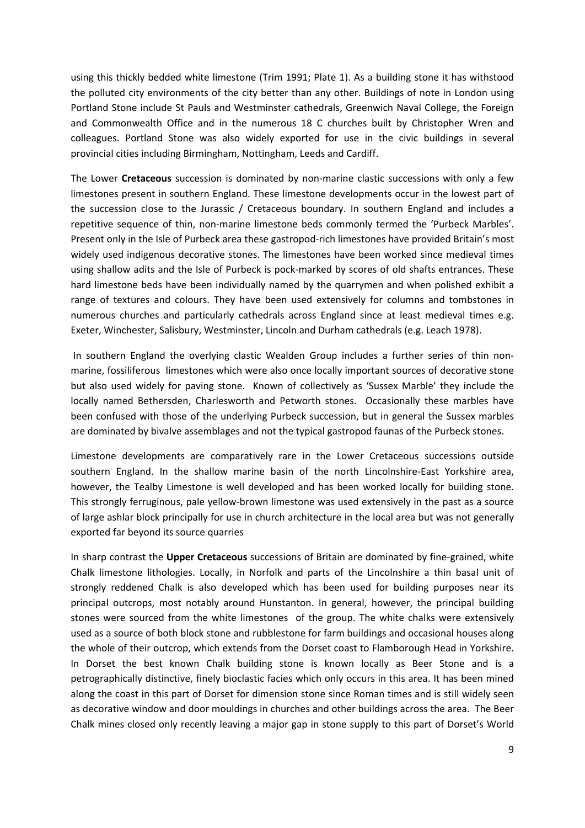using this thickly bedded white limestone (Trim 1991; Plate 1). As a building stone it has withstood the polluted city environments of the city better than any other. Buildings of note in London using Portland Stone include St Pauls and Westminster cathedrals, Greenwich Naval College, the Foreign and Commonwealth Office and in the numerous 18 C churches built by Christopher Wren and colleagues. Portland Stone was also widely exported for use in the civic buildings in several provincial cities including Birmingham, Nottingham, Leeds and Cardiff.

The Lower **Cretaceous** succession is dominated by non‐marine clastic successions with only a few limestones present in southern England. These limestone developments occur in the lowest part of the succession close to the Jurassic / Cretaceous boundary. In southern England and includes a repetitive sequence of thin, non-marine limestone beds commonly termed the 'Purbeck Marbles'. Present only in the Isle of Purbeck area these gastropod‐rich limestones have provided Britain's most widely used indigenous decorative stones. The limestones have been worked since medieval times using shallow adits and the Isle of Purbeck is pock‐marked by scores of old shafts entrances. These hard limestone beds have been individually named by the quarrymen and when polished exhibit a range of textures and colours. They have been used extensively for columns and tombstones in numerous churches and particularly cathedrals across England since at least medieval times e.g. Exeter, Winchester, Salisbury, Westminster, Lincoln and Durham cathedrals (e.g. Leach 1978).

In southern England the overlying clastic Wealden Group includes a further series of thin nonmarine, fossiliferous limestones which were also once locally important sources of decorative stone but also used widely for paving stone. Known of collectively as 'Sussex Marble' they include the locally named Bethersden, Charlesworth and Petworth stones. Occasionally these marbles have been confused with those of the underlying Purbeck succession, but in general the Sussex marbles are dominated by bivalve assemblages and not the typical gastropod faunas of the Purbeck stones.

Limestone developments are comparatively rare in the Lower Cretaceous successions outside southern England. In the shallow marine basin of the north Lincolnshire-East Yorkshire area, however, the Tealby Limestone is well developed and has been worked locally for building stone. This strongly ferruginous, pale yellow‐brown limestone was used extensively in the past as a source of large ashlar block principally for use in church architecture in the local area but was not generally exported far beyond its source quarries

In sharp contrast the **Upper Cretaceous** successions of Britain are dominated by fine‐grained, white Chalk limestone lithologies. Locally, in Norfolk and parts of the Lincolnshire a thin basal unit of strongly reddened Chalk is also developed which has been used for building purposes near its principal outcrops, most notably around Hunstanton. In general, however, the principal building stones were sourced from the white limestones of the group. The white chalks were extensively used as a source of both block stone and rubblestone for farm buildings and occasional houses along the whole of their outcrop, which extends from the Dorset coast to Flamborough Head in Yorkshire. In Dorset the best known Chalk building stone is known locally as Beer Stone and is a petrographically distinctive, finely bioclastic facies which only occurs in this area. It has been mined along the coast in this part of Dorset for dimension stone since Roman times and is still widely seen as decorative window and door mouldings in churches and other buildings across the area. The Beer Chalk mines closed only recently leaving a major gap in stone supply to this part of Dorset's World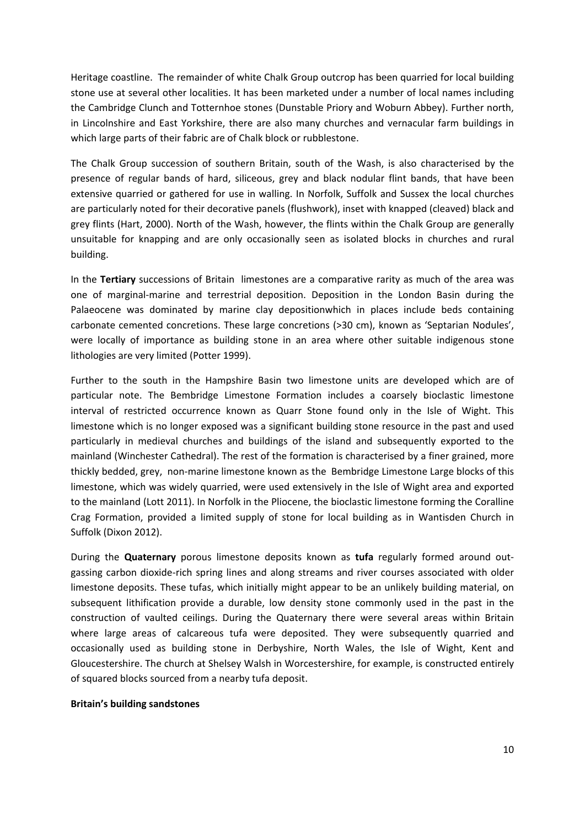Heritage coastline. The remainder of white Chalk Group outcrop has been quarried for local building stone use at several other localities. It has been marketed under a number of local names including the Cambridge Clunch and Totternhoe stones (Dunstable Priory and Woburn Abbey). Further north, in Lincolnshire and East Yorkshire, there are also many churches and vernacular farm buildings in which large parts of their fabric are of Chalk block or rubblestone.

The Chalk Group succession of southern Britain, south of the Wash, is also characterised by the presence of regular bands of hard, siliceous, grey and black nodular flint bands, that have been extensive quarried or gathered for use in walling. In Norfolk, Suffolk and Sussex the local churches are particularly noted for their decorative panels (flushwork), inset with knapped (cleaved) black and grey flints (Hart, 2000). North of the Wash, however, the flints within the Chalk Group are generally unsuitable for knapping and are only occasionally seen as isolated blocks in churches and rural building.

In the **Tertiary** successions of Britain limestones are a comparative rarity as much of the area was one of marginal‐marine and terrestrial deposition. Deposition in the London Basin during the Palaeocene was dominated by marine clay depositionwhich in places include beds containing carbonate cemented concretions. These large concretions (>30 cm), known as 'Septarian Nodules', were locally of importance as building stone in an area where other suitable indigenous stone lithologies are very limited (Potter 1999).

Further to the south in the Hampshire Basin two limestone units are developed which are of particular note. The Bembridge Limestone Formation includes a coarsely bioclastic limestone interval of restricted occurrence known as Quarr Stone found only in the Isle of Wight. This limestone which is no longer exposed was a significant building stone resource in the past and used particularly in medieval churches and buildings of the island and subsequently exported to the mainland (Winchester Cathedral). The rest of the formation is characterised by a finer grained, more thickly bedded, grey, non‐marine limestone known as the Bembridge Limestone Large blocks of this limestone, which was widely quarried, were used extensively in the Isle of Wight area and exported to the mainland (Lott 2011). In Norfolk in the Pliocene, the bioclastic limestone forming the Coralline Crag Formation, provided a limited supply of stone for local building as in Wantisden Church in Suffolk (Dixon 2012).

During the **Quaternary** porous limestone deposits known as **tufa** regularly formed around out‐ gassing carbon dioxide‐rich spring lines and along streams and river courses associated with older limestone deposits. These tufas, which initially might appear to be an unlikely building material, on subsequent lithification provide a durable, low density stone commonly used in the past in the construction of vaulted ceilings. During the Quaternary there were several areas within Britain where large areas of calcareous tufa were deposited. They were subsequently quarried and occasionally used as building stone in Derbyshire, North Wales, the Isle of Wight, Kent and Gloucestershire. The church at Shelsey Walsh in Worcestershire, for example, is constructed entirely of squared blocks sourced from a nearby tufa deposit.

## **Britain's building sandstones**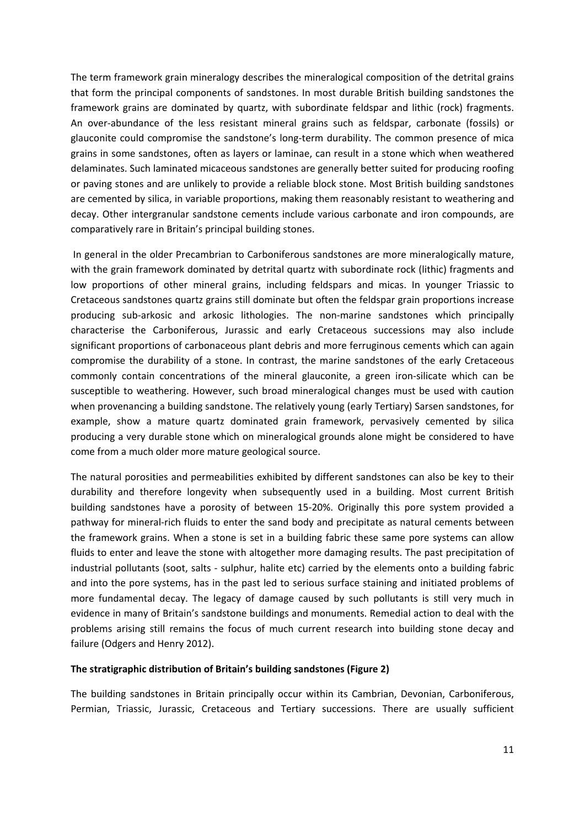The term framework grain mineralogy describes the mineralogical composition of the detrital grains that form the principal components of sandstones. In most durable British building sandstones the framework grains are dominated by quartz, with subordinate feldspar and lithic (rock) fragments. An over‐abundance of the less resistant mineral grains such as feldspar, carbonate (fossils) or glauconite could compromise the sandstone's long‐term durability. The common presence of mica grains in some sandstones, often as layers or laminae, can result in a stone which when weathered delaminates. Such laminated micaceous sandstones are generally better suited for producing roofing or paving stones and are unlikely to provide a reliable block stone. Most British building sandstones are cemented by silica, in variable proportions, making them reasonably resistant to weathering and decay. Other intergranular sandstone cements include various carbonate and iron compounds, are comparatively rare in Britain's principal building stones.

In general in the older Precambrian to Carboniferous sandstones are more mineralogically mature, with the grain framework dominated by detrital quartz with subordinate rock (lithic) fragments and low proportions of other mineral grains, including feldspars and micas. In younger Triassic to Cretaceous sandstones quartz grains still dominate but often the feldspar grain proportions increase producing sub‐arkosic and arkosic lithologies. The non‐marine sandstones which principally characterise the Carboniferous, Jurassic and early Cretaceous successions may also include significant proportions of carbonaceous plant debris and more ferruginous cements which can again compromise the durability of a stone. In contrast, the marine sandstones of the early Cretaceous commonly contain concentrations of the mineral glauconite, a green iron-silicate which can be susceptible to weathering. However, such broad mineralogical changes must be used with caution when provenancing a building sandstone. The relatively young (early Tertiary) Sarsen sandstones, for example, show a mature quartz dominated grain framework, pervasively cemented by silica producing a very durable stone which on mineralogical grounds alone might be considered to have come from a much older more mature geological source.

The natural porosities and permeabilities exhibited by different sandstones can also be key to their durability and therefore longevity when subsequently used in a building. Most current British building sandstones have a porosity of between 15‐20%. Originally this pore system provided a pathway for mineral‐rich fluids to enter the sand body and precipitate as natural cements between the framework grains. When a stone is set in a building fabric these same pore systems can allow fluids to enter and leave the stone with altogether more damaging results. The past precipitation of industrial pollutants (soot, salts ‐ sulphur, halite etc) carried by the elements onto a building fabric and into the pore systems, has in the past led to serious surface staining and initiated problems of more fundamental decay. The legacy of damage caused by such pollutants is still very much in evidence in many of Britain's sandstone buildings and monuments. Remedial action to deal with the problems arising still remains the focus of much current research into building stone decay and failure (Odgers and Henry 2012).

## **The stratigraphic distribution of Britain's building sandstones (Figure 2)**

The building sandstones in Britain principally occur within its Cambrian, Devonian, Carboniferous, Permian, Triassic, Jurassic, Cretaceous and Tertiary successions. There are usually sufficient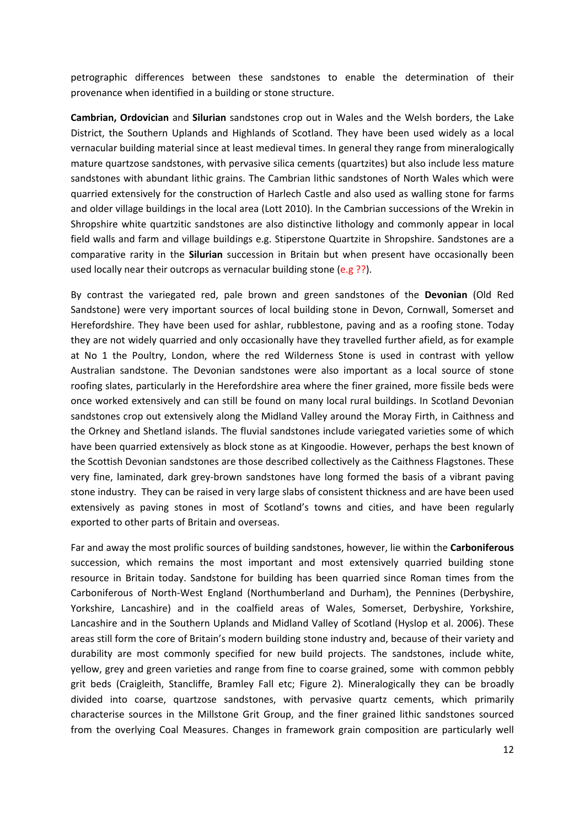petrographic differences between these sandstones to enable the determination of their provenance when identified in a building or stone structure.

**Cambrian, Ordovician** and **Silurian** sandstones crop out in Wales and the Welsh borders, the Lake District, the Southern Uplands and Highlands of Scotland. They have been used widely as a local vernacular building material since at least medieval times. In general they range from mineralogically mature quartzose sandstones, with pervasive silica cements (quartzites) but also include less mature sandstones with abundant lithic grains. The Cambrian lithic sandstones of North Wales which were quarried extensively for the construction of Harlech Castle and also used as walling stone for farms and older village buildings in the local area (Lott 2010). In the Cambrian successions of the Wrekin in Shropshire white quartzitic sandstones are also distinctive lithology and commonly appear in local field walls and farm and village buildings e.g. Stiperstone Quartzite in Shropshire. Sandstones are a comparative rarity in the **Silurian** succession in Britain but when present have occasionally been used locally near their outcrops as vernacular building stone (e.g ??).

By contrast the variegated red, pale brown and green sandstones of the **Devonian** (Old Red Sandstone) were very important sources of local building stone in Devon, Cornwall, Somerset and Herefordshire. They have been used for ashlar, rubblestone, paving and as a roofing stone. Today they are not widely quarried and only occasionally have they travelled further afield, as for example at No 1 the Poultry, London, where the red Wilderness Stone is used in contrast with yellow Australian sandstone. The Devonian sandstones were also important as a local source of stone roofing slates, particularly in the Herefordshire area where the finer grained, more fissile beds were once worked extensively and can still be found on many local rural buildings. In Scotland Devonian sandstones crop out extensively along the Midland Valley around the Moray Firth, in Caithness and the Orkney and Shetland islands. The fluvial sandstones include variegated varieties some of which have been quarried extensively as block stone as at Kingoodie. However, perhaps the best known of the Scottish Devonian sandstones are those described collectively as the Caithness Flagstones. These very fine, laminated, dark grey‐brown sandstones have long formed the basis of a vibrant paving stone industry. They can be raised in very large slabs of consistent thickness and are have been used extensively as paving stones in most of Scotland's towns and cities, and have been regularly exported to other parts of Britain and overseas.

Far and away the most prolific sources of building sandstones, however, lie within the **Carboniferous** succession, which remains the most important and most extensively quarried building stone resource in Britain today. Sandstone for building has been quarried since Roman times from the Carboniferous of North‐West England (Northumberland and Durham), the Pennines (Derbyshire, Yorkshire, Lancashire) and in the coalfield areas of Wales, Somerset, Derbyshire, Yorkshire, Lancashire and in the Southern Uplands and Midland Valley of Scotland (Hyslop et al. 2006). These areas still form the core of Britain's modern building stone industry and, because of their variety and durability are most commonly specified for new build projects. The sandstones, include white, yellow, grey and green varieties and range from fine to coarse grained, some with common pebbly grit beds (Craigleith, Stancliffe, Bramley Fall etc; Figure 2). Mineralogically they can be broadly divided into coarse, quartzose sandstones, with pervasive quartz cements, which primarily characterise sources in the Millstone Grit Group, and the finer grained lithic sandstones sourced from the overlying Coal Measures. Changes in framework grain composition are particularly well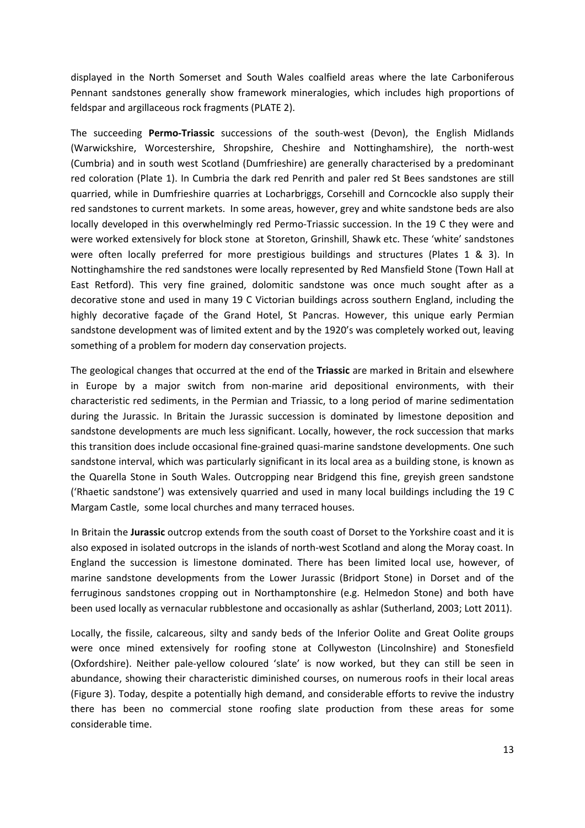displayed in the North Somerset and South Wales coalfield areas where the late Carboniferous Pennant sandstones generally show framework mineralogies, which includes high proportions of feldspar and argillaceous rock fragments (PLATE 2).

The succeeding **Permo‐Triassic** successions of the south‐west (Devon), the English Midlands (Warwickshire, Worcestershire, Shropshire, Cheshire and Nottinghamshire), the north‐west (Cumbria) and in south west Scotland (Dumfrieshire) are generally characterised by a predominant red coloration (Plate 1). In Cumbria the dark red Penrith and paler red St Bees sandstones are still quarried, while in Dumfrieshire quarries at Locharbriggs, Corsehill and Corncockle also supply their red sandstones to current markets. In some areas, however, grey and white sandstone beds are also locally developed in this overwhelmingly red Permo-Triassic succession. In the 19 C they were and were worked extensively for block stone at Storeton, Grinshill, Shawk etc. These 'white' sandstones were often locally preferred for more prestigious buildings and structures (Plates 1 & 3). In Nottinghamshire the red sandstones were locally represented by Red Mansfield Stone (Town Hall at East Retford). This very fine grained, dolomitic sandstone was once much sought after as a decorative stone and used in many 19 C Victorian buildings across southern England, including the highly decorative façade of the Grand Hotel, St Pancras. However, this unique early Permian sandstone development was of limited extent and by the 1920's was completely worked out, leaving something of a problem for modern day conservation projects.

The geological changes that occurred at the end of the **Triassic** are marked in Britain and elsewhere in Europe by a major switch from non-marine arid depositional environments, with their characteristic red sediments, in the Permian and Triassic, to a long period of marine sedimentation during the Jurassic. In Britain the Jurassic succession is dominated by limestone deposition and sandstone developments are much less significant. Locally, however, the rock succession that marks this transition does include occasional fine‐grained quasi‐marine sandstone developments. One such sandstone interval, which was particularly significant in its local area as a building stone, is known as the Quarella Stone in South Wales. Outcropping near Bridgend this fine, greyish green sandstone ('Rhaetic sandstone') was extensively quarried and used in many local buildings including the 19 C Margam Castle, some local churches and many terraced houses.

In Britain the **Jurassic** outcrop extends from the south coast of Dorset to the Yorkshire coast and it is also exposed in isolated outcrops in the islands of north‐west Scotland and along the Moray coast. In England the succession is limestone dominated. There has been limited local use, however, of marine sandstone developments from the Lower Jurassic (Bridport Stone) in Dorset and of the ferruginous sandstones cropping out in Northamptonshire (e.g. Helmedon Stone) and both have been used locally as vernacular rubblestone and occasionally as ashlar (Sutherland, 2003; Lott 2011).

Locally, the fissile, calcareous, silty and sandy beds of the Inferior Oolite and Great Oolite groups were once mined extensively for roofing stone at Collyweston (Lincolnshire) and Stonesfield (Oxfordshire). Neither pale‐yellow coloured 'slate' is now worked, but they can still be seen in abundance, showing their characteristic diminished courses, on numerous roofs in their local areas (Figure 3). Today, despite a potentially high demand, and considerable efforts to revive the industry there has been no commercial stone roofing slate production from these areas for some considerable time.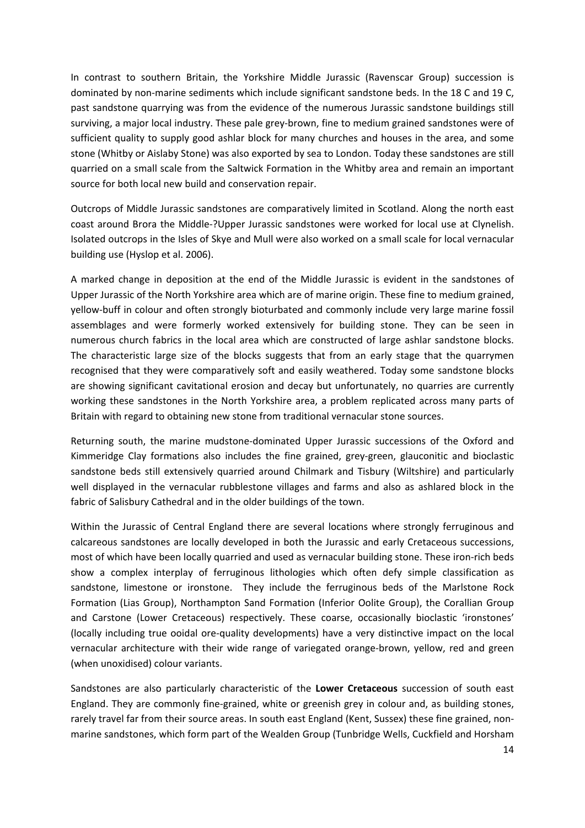In contrast to southern Britain, the Yorkshire Middle Jurassic (Ravenscar Group) succession is dominated by non-marine sediments which include significant sandstone beds. In the 18 C and 19 C, past sandstone quarrying was from the evidence of the numerous Jurassic sandstone buildings still surviving, a major local industry. These pale grey-brown, fine to medium grained sandstones were of sufficient quality to supply good ashlar block for many churches and houses in the area, and some stone (Whitby or Aislaby Stone) was also exported by sea to London. Today these sandstones are still quarried on a small scale from the Saltwick Formation in the Whitby area and remain an important source for both local new build and conservation repair.

Outcrops of Middle Jurassic sandstones are comparatively limited in Scotland. Along the north east coast around Brora the Middle‐?Upper Jurassic sandstones were worked for local use at Clynelish. Isolated outcrops in the Isles of Skye and Mull were also worked on a small scale for local vernacular building use (Hyslop et al. 2006).

A marked change in deposition at the end of the Middle Jurassic is evident in the sandstones of Upper Jurassic of the North Yorkshire area which are of marine origin. These fine to medium grained, yellow‐buff in colour and often strongly bioturbated and commonly include very large marine fossil assemblages and were formerly worked extensively for building stone. They can be seen in numerous church fabrics in the local area which are constructed of large ashlar sandstone blocks. The characteristic large size of the blocks suggests that from an early stage that the quarrymen recognised that they were comparatively soft and easily weathered. Today some sandstone blocks are showing significant cavitational erosion and decay but unfortunately, no quarries are currently working these sandstones in the North Yorkshire area, a problem replicated across many parts of Britain with regard to obtaining new stone from traditional vernacular stone sources.

Returning south, the marine mudstone‐dominated Upper Jurassic successions of the Oxford and Kimmeridge Clay formations also includes the fine grained, grey-green, glauconitic and bioclastic sandstone beds still extensively quarried around Chilmark and Tisbury (Wiltshire) and particularly well displayed in the vernacular rubblestone villages and farms and also as ashlared block in the fabric of Salisbury Cathedral and in the older buildings of the town.

Within the Jurassic of Central England there are several locations where strongly ferruginous and calcareous sandstones are locally developed in both the Jurassic and early Cretaceous successions, most of which have been locally quarried and used as vernacular building stone. These iron‐rich beds show a complex interplay of ferruginous lithologies which often defy simple classification as sandstone, limestone or ironstone. They include the ferruginous beds of the Marlstone Rock Formation (Lias Group), Northampton Sand Formation (Inferior Oolite Group), the Corallian Group and Carstone (Lower Cretaceous) respectively. These coarse, occasionally bioclastic 'ironstones' (locally including true ooidal ore‐quality developments) have a very distinctive impact on the local vernacular architecture with their wide range of variegated orange‐brown, yellow, red and green (when unoxidised) colour variants.

Sandstones are also particularly characteristic of the **Lower Cretaceous** succession of south east England. They are commonly fine‐grained, white or greenish grey in colour and, as building stones, rarely travel far from their source areas. In south east England (Kent, Sussex) these fine grained, nonmarine sandstones, which form part of the Wealden Group (Tunbridge Wells, Cuckfield and Horsham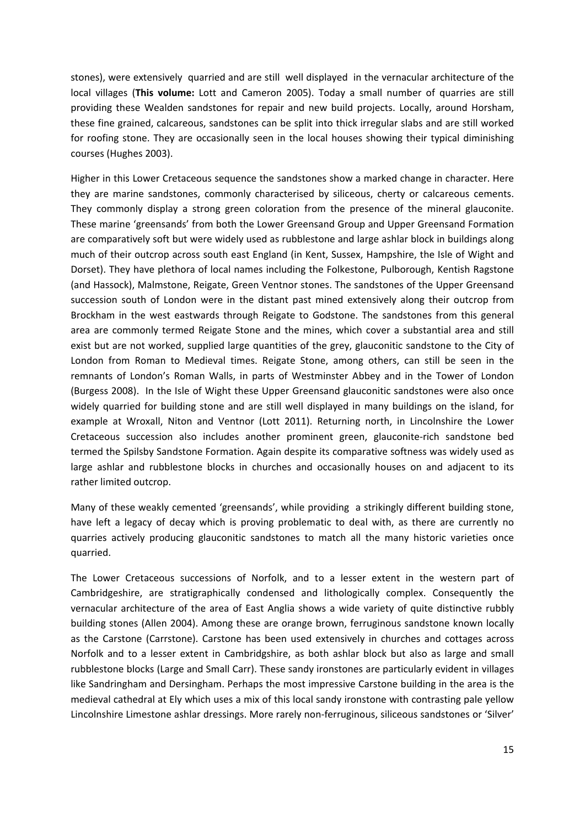stones), were extensively quarried and are still well displayed in the vernacular architecture of the local villages (**This volume:** Lott and Cameron 2005). Today a small number of quarries are still providing these Wealden sandstones for repair and new build projects. Locally, around Horsham, these fine grained, calcareous, sandstones can be split into thick irregular slabs and are still worked for roofing stone. They are occasionally seen in the local houses showing their typical diminishing courses (Hughes 2003).

Higher in this Lower Cretaceous sequence the sandstones show a marked change in character. Here they are marine sandstones, commonly characterised by siliceous, cherty or calcareous cements. They commonly display a strong green coloration from the presence of the mineral glauconite. These marine 'greensands' from both the Lower Greensand Group and Upper Greensand Formation are comparatively soft but were widely used as rubblestone and large ashlar block in buildings along much of their outcrop across south east England (in Kent, Sussex, Hampshire, the Isle of Wight and Dorset). They have plethora of local names including the Folkestone, Pulborough, Kentish Ragstone (and Hassock), Malmstone, Reigate, Green Ventnor stones. The sandstones of the Upper Greensand succession south of London were in the distant past mined extensively along their outcrop from Brockham in the west eastwards through Reigate to Godstone. The sandstones from this general area are commonly termed Reigate Stone and the mines, which cover a substantial area and still exist but are not worked, supplied large quantities of the grey, glauconitic sandstone to the City of London from Roman to Medieval times. Reigate Stone, among others, can still be seen in the remnants of London's Roman Walls, in parts of Westminster Abbey and in the Tower of London (Burgess 2008). In the Isle of Wight these Upper Greensand glauconitic sandstones were also once widely quarried for building stone and are still well displayed in many buildings on the island, for example at Wroxall, Niton and Ventnor (Lott 2011). Returning north, in Lincolnshire the Lower Cretaceous succession also includes another prominent green, glauconite‐rich sandstone bed termed the Spilsby Sandstone Formation. Again despite its comparative softness was widely used as large ashlar and rubblestone blocks in churches and occasionally houses on and adjacent to its rather limited outcrop.

Many of these weakly cemented 'greensands', while providing a strikingly different building stone, have left a legacy of decay which is proving problematic to deal with, as there are currently no quarries actively producing glauconitic sandstones to match all the many historic varieties once quarried.

The Lower Cretaceous successions of Norfolk, and to a lesser extent in the western part of Cambridgeshire, are stratigraphically condensed and lithologically complex. Consequently the vernacular architecture of the area of East Anglia shows a wide variety of quite distinctive rubbly building stones (Allen 2004). Among these are orange brown, ferruginous sandstone known locally as the Carstone (Carrstone). Carstone has been used extensively in churches and cottages across Norfolk and to a lesser extent in Cambridgshire, as both ashlar block but also as large and small rubblestone blocks (Large and Small Carr). These sandy ironstones are particularly evident in villages like Sandringham and Dersingham. Perhaps the most impressive Carstone building in the area is the medieval cathedral at Ely which uses a mix of this local sandy ironstone with contrasting pale yellow Lincolnshire Limestone ashlar dressings. More rarely non‐ferruginous, siliceous sandstones or 'Silver'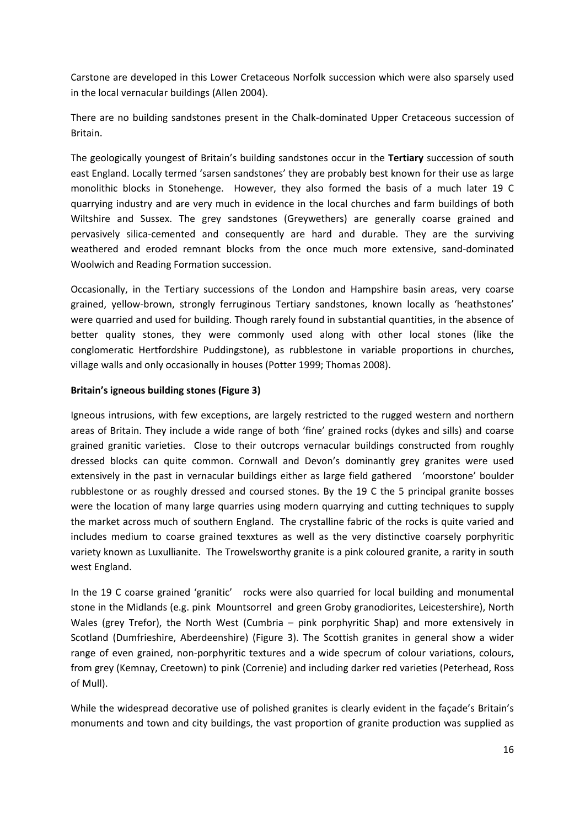Carstone are developed in this Lower Cretaceous Norfolk succession which were also sparsely used in the local vernacular buildings (Allen 2004).

There are no building sandstones present in the Chalk‐dominated Upper Cretaceous succession of Britain.

The geologically youngest of Britain's building sandstones occur in the **Tertiary** succession of south east England. Locally termed 'sarsen sandstones' they are probably best known for their use as large monolithic blocks in Stonehenge. However, they also formed the basis of a much later 19 C quarrying industry and are very much in evidence in the local churches and farm buildings of both Wiltshire and Sussex. The grey sandstones (Greywethers) are generally coarse grained and pervasively silica‐cemented and consequently are hard and durable. They are the surviving weathered and eroded remnant blocks from the once much more extensive, sand‐dominated Woolwich and Reading Formation succession.

Occasionally, in the Tertiary successions of the London and Hampshire basin areas, very coarse grained, yellow‐brown, strongly ferruginous Tertiary sandstones, known locally as 'heathstones' were quarried and used for building. Though rarely found in substantial quantities, in the absence of better quality stones, they were commonly used along with other local stones (like the conglomeratic Hertfordshire Puddingstone), as rubblestone in variable proportions in churches, village walls and only occasionally in houses (Potter 1999; Thomas 2008).

## **Britain's igneous building stones (Figure 3)**

Igneous intrusions, with few exceptions, are largely restricted to the rugged western and northern areas of Britain. They include a wide range of both 'fine' grained rocks (dykes and sills) and coarse grained granitic varieties. Close to their outcrops vernacular buildings constructed from roughly dressed blocks can quite common. Cornwall and Devon's dominantly grey granites were used extensively in the past in vernacular buildings either as large field gathered 'moorstone' boulder rubblestone or as roughly dressed and coursed stones. By the 19 C the 5 principal granite bosses were the location of many large quarries using modern quarrying and cutting techniques to supply the market across much of southern England. The crystalline fabric of the rocks is quite varied and includes medium to coarse grained texxtures as well as the very distinctive coarsely porphyritic variety known as Luxullianite. The Trowelsworthy granite is a pink coloured granite, a rarity in south west England.

In the 19 C coarse grained 'granitic' rocks were also quarried for local building and monumental stone in the Midlands (e.g. pink Mountsorrel and green Groby granodiorites, Leicestershire), North Wales (grey Trefor), the North West (Cumbria – pink porphyritic Shap) and more extensively in Scotland (Dumfrieshire, Aberdeenshire) (Figure 3). The Scottish granites in general show a wider range of even grained, non-porphyritic textures and a wide specrum of colour variations, colours, from grey (Kemnay, Creetown) to pink (Correnie) and including darker red varieties (Peterhead, Ross of Mull).

While the widespread decorative use of polished granites is clearly evident in the façade's Britain's monuments and town and city buildings, the vast proportion of granite production was supplied as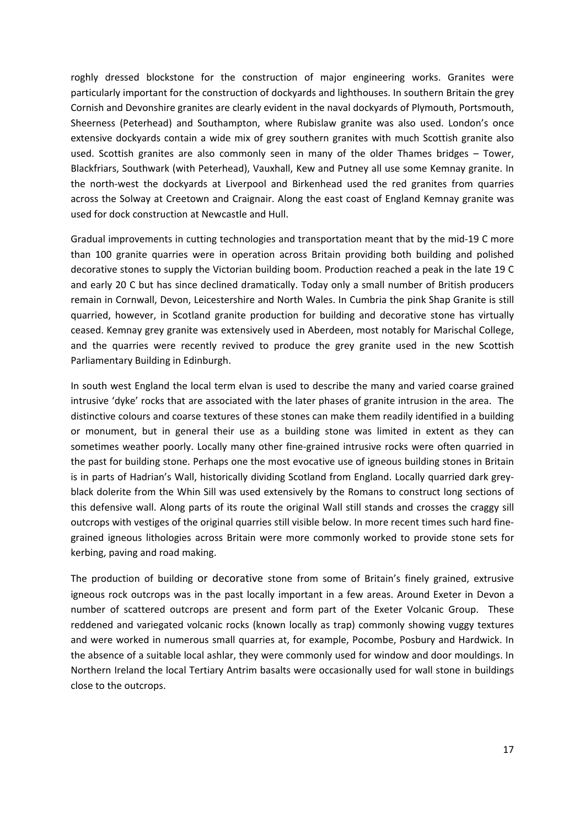roghly dressed blockstone for the construction of major engineering works. Granites were particularly important for the construction of dockyards and lighthouses. In southern Britain the grey Cornish and Devonshire granites are clearly evident in the naval dockyards of Plymouth, Portsmouth, Sheerness (Peterhead) and Southampton, where Rubislaw granite was also used. London's once extensive dockyards contain a wide mix of grey southern granites with much Scottish granite also used. Scottish granites are also commonly seen in many of the older Thames bridges – Tower, Blackfriars, Southwark (with Peterhead), Vauxhall, Kew and Putney all use some Kemnay granite. In the north‐west the dockyards at Liverpool and Birkenhead used the red granites from quarries across the Solway at Creetown and Craignair. Along the east coast of England Kemnay granite was used for dock construction at Newcastle and Hull.

Gradual improvements in cutting technologies and transportation meant that by the mid‐19 C more than 100 granite quarries were in operation across Britain providing both building and polished decorative stones to supply the Victorian building boom. Production reached a peak in the late 19 C and early 20 C but has since declined dramatically. Today only a small number of British producers remain in Cornwall, Devon, Leicestershire and North Wales. In Cumbria the pink Shap Granite is still quarried, however, in Scotland granite production for building and decorative stone has virtually ceased. Kemnay grey granite was extensively used in Aberdeen, most notably for Marischal College, and the quarries were recently revived to produce the grey granite used in the new Scottish Parliamentary Building in Edinburgh.

In south west England the local term elvan is used to describe the many and varied coarse grained intrusive 'dyke' rocks that are associated with the later phases of granite intrusion in the area. The distinctive colours and coarse textures of these stones can make them readily identified in a building or monument, but in general their use as a building stone was limited in extent as they can sometimes weather poorly. Locally many other fine-grained intrusive rocks were often quarried in the past for building stone. Perhaps one the most evocative use of igneous building stones in Britain is in parts of Hadrian's Wall, historically dividing Scotland from England. Locally quarried dark grey‐ black dolerite from the Whin Sill was used extensively by the Romans to construct long sections of this defensive wall. Along parts of its route the original Wall still stands and crosses the craggy sill outcrops with vestiges of the original quarries still visible below. In more recent times such hard fine‐ grained igneous lithologies across Britain were more commonly worked to provide stone sets for kerbing, paving and road making.

The production of building or decorative stone from some of Britain's finely grained, extrusive igneous rock outcrops was in the past locally important in a few areas. Around Exeter in Devon a number of scattered outcrops are present and form part of the Exeter Volcanic Group. These reddened and variegated volcanic rocks (known locally as trap) commonly showing vuggy textures and were worked in numerous small quarries at, for example, Pocombe, Posbury and Hardwick. In the absence of a suitable local ashlar, they were commonly used for window and door mouldings. In Northern Ireland the local Tertiary Antrim basalts were occasionally used for wall stone in buildings close to the outcrops.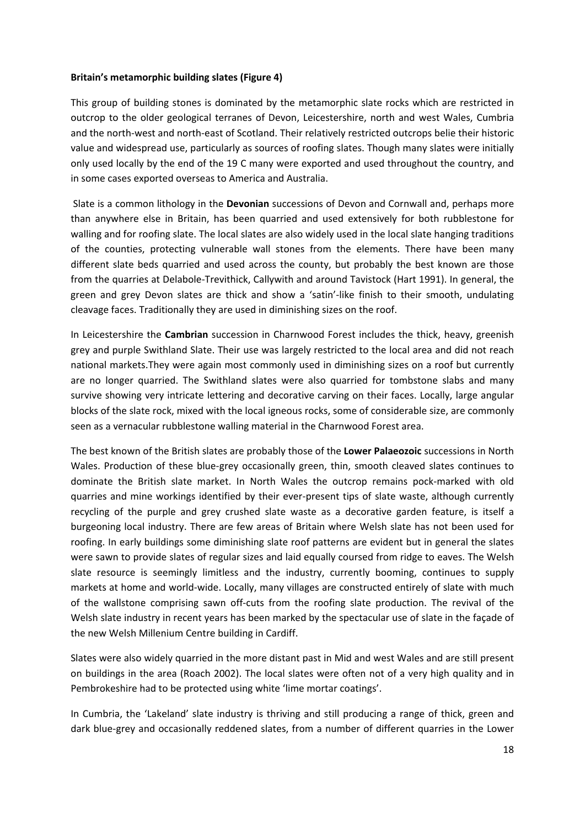#### **Britain's metamorphic building slates (Figure 4)**

This group of building stones is dominated by the metamorphic slate rocks which are restricted in outcrop to the older geological terranes of Devon, Leicestershire, north and west Wales, Cumbria and the north-west and north-east of Scotland. Their relatively restricted outcrops belie their historic value and widespread use, particularly as sources of roofing slates. Though many slates were initially only used locally by the end of the 19 C many were exported and used throughout the country, and in some cases exported overseas to America and Australia.

Slate is a common lithology in the **Devonian** successions of Devon and Cornwall and, perhaps more than anywhere else in Britain, has been quarried and used extensively for both rubblestone for walling and for roofing slate. The local slates are also widely used in the local slate hanging traditions of the counties, protecting vulnerable wall stones from the elements. There have been many different slate beds quarried and used across the county, but probably the best known are those from the quarries at Delabole‐Trevithick, Callywith and around Tavistock (Hart 1991). In general, the green and grey Devon slates are thick and show a 'satin'‐like finish to their smooth, undulating cleavage faces. Traditionally they are used in diminishing sizes on the roof.

In Leicestershire the **Cambrian** succession in Charnwood Forest includes the thick, heavy, greenish grey and purple Swithland Slate. Their use was largely restricted to the local area and did not reach national markets.They were again most commonly used in diminishing sizes on a roof but currently are no longer quarried. The Swithland slates were also quarried for tombstone slabs and many survive showing very intricate lettering and decorative carving on their faces. Locally, large angular blocks of the slate rock, mixed with the local igneous rocks, some of considerable size, are commonly seen as a vernacular rubblestone walling material in the Charnwood Forest area.

The best known of the British slates are probably those of the **Lower Palaeozoic** successions in North Wales. Production of these blue-grey occasionally green, thin, smooth cleaved slates continues to dominate the British slate market. In North Wales the outcrop remains pock‐marked with old quarries and mine workings identified by their ever-present tips of slate waste, although currently recycling of the purple and grey crushed slate waste as a decorative garden feature, is itself a burgeoning local industry. There are few areas of Britain where Welsh slate has not been used for roofing. In early buildings some diminishing slate roof patterns are evident but in general the slates were sawn to provide slates of regular sizes and laid equally coursed from ridge to eaves. The Welsh slate resource is seemingly limitless and the industry, currently booming, continues to supply markets at home and world‐wide. Locally, many villages are constructed entirely of slate with much of the wallstone comprising sawn off‐cuts from the roofing slate production. The revival of the Welsh slate industry in recent years has been marked by the spectacular use of slate in the façade of the new Welsh Millenium Centre building in Cardiff.

Slates were also widely quarried in the more distant past in Mid and west Wales and are still present on buildings in the area (Roach 2002). The local slates were often not of a very high quality and in Pembrokeshire had to be protected using white 'lime mortar coatings'.

In Cumbria, the 'Lakeland' slate industry is thriving and still producing a range of thick, green and dark blue‐grey and occasionally reddened slates, from a number of different quarries in the Lower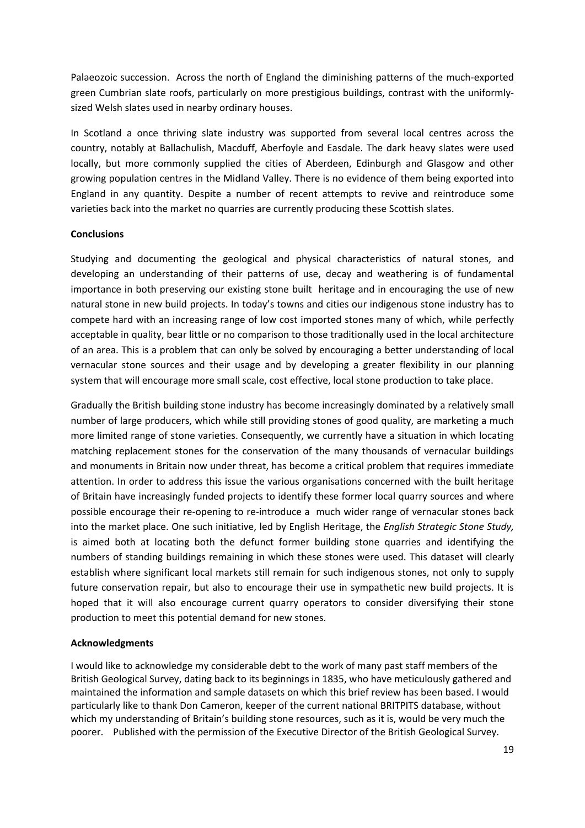Palaeozoic succession. Across the north of England the diminishing patterns of the much‐exported green Cumbrian slate roofs, particularly on more prestigious buildings, contrast with the uniformlysized Welsh slates used in nearby ordinary houses.

In Scotland a once thriving slate industry was supported from several local centres across the country, notably at Ballachulish, Macduff, Aberfoyle and Easdale. The dark heavy slates were used locally, but more commonly supplied the cities of Aberdeen, Edinburgh and Glasgow and other growing population centres in the Midland Valley. There is no evidence of them being exported into England in any quantity. Despite a number of recent attempts to revive and reintroduce some varieties back into the market no quarries are currently producing these Scottish slates.

#### **Conclusions**

Studying and documenting the geological and physical characteristics of natural stones, and developing an understanding of their patterns of use, decay and weathering is of fundamental importance in both preserving our existing stone built heritage and in encouraging the use of new natural stone in new build projects. In today's towns and cities our indigenous stone industry has to compete hard with an increasing range of low cost imported stones many of which, while perfectly acceptable in quality, bear little or no comparison to those traditionally used in the local architecture of an area. This is a problem that can only be solved by encouraging a better understanding of local vernacular stone sources and their usage and by developing a greater flexibility in our planning system that will encourage more small scale, cost effective, local stone production to take place.

Gradually the British building stone industry has become increasingly dominated by a relatively small number of large producers, which while still providing stones of good quality, are marketing a much more limited range of stone varieties. Consequently, we currently have a situation in which locating matching replacement stones for the conservation of the many thousands of vernacular buildings and monuments in Britain now under threat, has become a critical problem that requires immediate attention. In order to address this issue the various organisations concerned with the built heritage of Britain have increasingly funded projects to identify these former local quarry sources and where possible encourage their re‐opening to re‐introduce a much wider range of vernacular stones back into the market place. One such initiative, led by English Heritage, the *English Strategic Stone Study,* is aimed both at locating both the defunct former building stone quarries and identifying the numbers of standing buildings remaining in which these stones were used. This dataset will clearly establish where significant local markets still remain for such indigenous stones, not only to supply future conservation repair, but also to encourage their use in sympathetic new build projects. It is hoped that it will also encourage current quarry operators to consider diversifying their stone production to meet this potential demand for new stones.

#### **Acknowledgments**

I would like to acknowledge my considerable debt to the work of many past staff members of the British Geological Survey, dating back to its beginnings in 1835, who have meticulously gathered and maintained the information and sample datasets on which this brief review has been based. I would particularly like to thank Don Cameron, keeper of the current national BRITPITS database, without which my understanding of Britain's building stone resources, such as it is, would be very much the poorer. Published with the permission of the Executive Director of the British Geological Survey.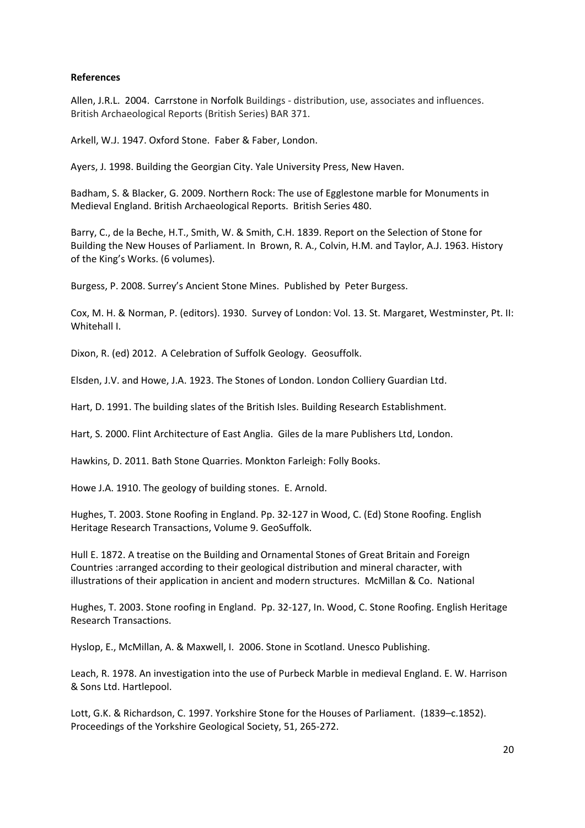## **References**

Allen, J.R.L. 2004. Carrstone in Norfolk Buildings ‐ distribution, use, associates and influences. British Archaeological Reports (British Series) BAR 371.

Arkell, W.J. 1947. Oxford Stone. Faber & Faber, London.

Ayers, J. 1998. Building the Georgian City. Yale University Press, New Haven.

Badham, S. & Blacker, G. 2009. Northern Rock: The use of Egglestone marble for Monuments in Medieval England. British Archaeological Reports. British Series 480.

Barry, C., de la Beche, H.T., Smith, W. & Smith, C.H. 1839. Report on the Selection of Stone for Building the New Houses of Parliament. In Brown, R. A., Colvin, H.M. and Taylor, A.J. 1963. History of the King's Works. (6 volumes).

Burgess, P. 2008. Surrey's Ancient Stone Mines. Published by Peter Burgess.

Cox, M. H. & Norman, P. (editors). 1930. Survey of London: Vol. 13. St. Margaret, Westminster, Pt. II: Whitehall I.

Dixon, R. (ed) 2012. A Celebration of Suffolk Geology. Geosuffolk.

Elsden, J.V. and Howe, J.A. 1923. The Stones of London. London Colliery Guardian Ltd.

Hart, D. 1991. The building slates of the British Isles. Building Research Establishment.

Hart, S. 2000. Flint Architecture of East Anglia. Giles de la mare Publishers Ltd, London.

Hawkins, D. 2011. Bath Stone Quarries. Monkton Farleigh: Folly Books.

Howe J.A. 1910. The geology of building stones. E. Arnold.

Hughes, T. 2003. Stone Roofing in England. Pp. 32‐127 in Wood, C. (Ed) Stone Roofing. English Heritage Research Transactions, Volume 9. GeoSuffolk.

Hull E. 1872. A treatise on the Building and Ornamental Stones of Great Britain and Foreign Countries :arranged according to their geological distribution and mineral character, with illustrations of their application in ancient and modern structures. McMillan & Co. National

Hughes, T. 2003. Stone roofing in England. Pp. 32‐127, In. Wood, C. Stone Roofing. English Heritage Research Transactions.

Hyslop, E., McMillan, A. & Maxwell, I. 2006. Stone in Scotland. Unesco Publishing.

Leach, R. 1978. An investigation into the use of Purbeck Marble in medieval England. E. W. Harrison & Sons Ltd. Hartlepool.

Lott, G.K. & Richardson, C. 1997. Yorkshire Stone for the Houses of Parliament. (1839–c.1852). Proceedings of the Yorkshire Geological Society, 51, 265‐272.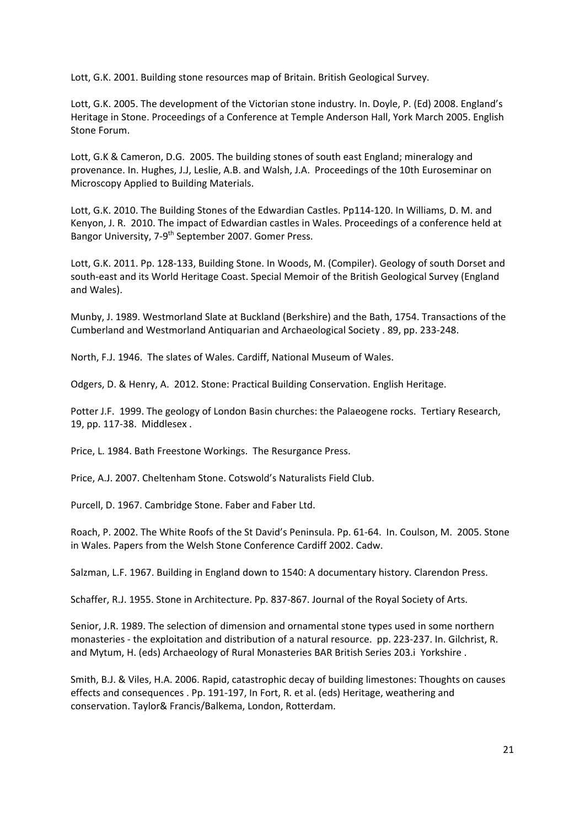Lott, G.K. 2001. Building stone resources map of Britain. British Geological Survey.

Lott, G.K. 2005. The development of the Victorian stone industry. In. Doyle, P. (Ed) 2008. England's Heritage in Stone. Proceedings of a Conference at Temple Anderson Hall, York March 2005. English Stone Forum.

Lott, G.K & Cameron, D.G. 2005. The building stones of south east England; mineralogy and provenance. In. Hughes, J.J, Leslie, A.B. and Walsh, J.A. Proceedings of the 10th Euroseminar on Microscopy Applied to Building Materials.

Lott, G.K. 2010. The Building Stones of the Edwardian Castles. Pp114‐120. In Williams, D. M. and Kenyon, J. R. 2010. The impact of Edwardian castles in Wales. Proceedings of a conference held at Bangor University, 7-9<sup>th</sup> September 2007. Gomer Press.

Lott, G.K. 2011. Pp. 128‐133, Building Stone. In Woods, M. (Compiler). Geology of south Dorset and south‐east and its World Heritage Coast. Special Memoir of the British Geological Survey (England and Wales).

Munby, J. 1989. Westmorland Slate at Buckland (Berkshire) and the Bath, 1754. Transactions of the Cumberland and Westmorland Antiquarian and Archaeological Society . 89, pp. 233‐248.

North, F.J. 1946. The slates of Wales. Cardiff, National Museum of Wales.

Odgers, D. & Henry, A. 2012. Stone: Practical Building Conservation. English Heritage.

Potter J.F. 1999. The geology of London Basin churches: the Palaeogene rocks. Tertiary Research, 19, pp. 117‐38. Middlesex .

Price, L. 1984. Bath Freestone Workings. The Resurgance Press.

Price, A.J. 2007. Cheltenham Stone. Cotswold's Naturalists Field Club.

Purcell, D. 1967. Cambridge Stone. Faber and Faber Ltd.

Roach, P. 2002. The White Roofs of the St David's Peninsula. Pp. 61‐64. In. Coulson, M. 2005. Stone in Wales. Papers from the Welsh Stone Conference Cardiff 2002. Cadw.

Salzman, L.F. 1967. Building in England down to 1540: A documentary history. Clarendon Press.

Schaffer, R.J. 1955. Stone in Architecture. Pp. 837‐867. Journal of the Royal Society of Arts.

Senior, J.R. 1989. The selection of dimension and ornamental stone types used in some northern monasteries ‐ the exploitation and distribution of a natural resource. pp. 223‐237. In. Gilchrist, R. and Mytum, H. (eds) Archaeology of Rural Monasteries BAR British Series 203.i Yorkshire .

Smith, B.J. & Viles, H.A. 2006. Rapid, catastrophic decay of building limestones: Thoughts on causes effects and consequences . Pp. 191‐197, In Fort, R. et al. (eds) Heritage, weathering and conservation. Taylor& Francis/Balkema, London, Rotterdam.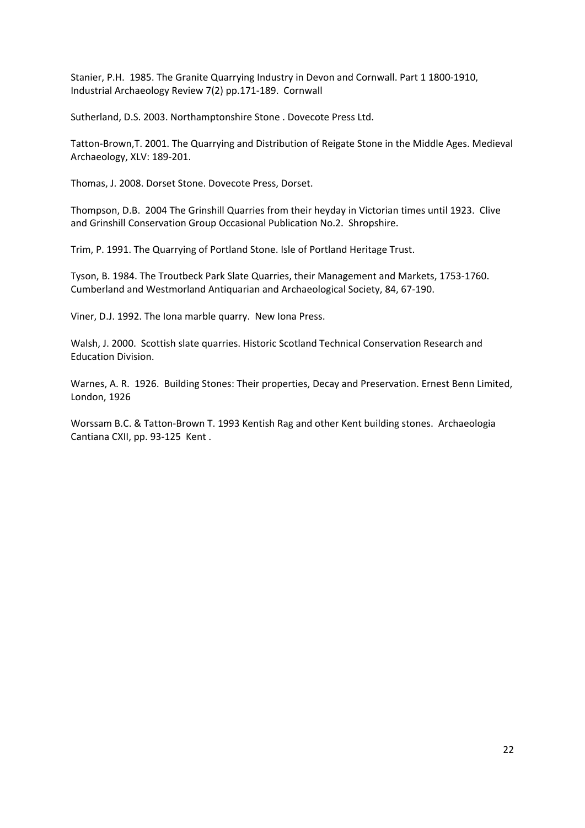Stanier, P.H. 1985. The Granite Quarrying Industry in Devon and Cornwall. Part 1 1800‐1910, Industrial Archaeology Review 7(2) pp.171‐189. Cornwall

Sutherland, D.S. 2003. Northamptonshire Stone . Dovecote Press Ltd.

Tatton‐Brown,T. 2001. The Quarrying and Distribution of Reigate Stone in the Middle Ages. Medieval Archaeology, XLV: 189‐201.

Thomas, J. 2008. Dorset Stone. Dovecote Press, Dorset.

Thompson, D.B. 2004 The Grinshill Quarries from their heyday in Victorian times until 1923. Clive and Grinshill Conservation Group Occasional Publication No.2. Shropshire.

Trim, P. 1991. The Quarrying of Portland Stone. Isle of Portland Heritage Trust.

Tyson, B. 1984. The Troutbeck Park Slate Quarries, their Management and Markets, 1753‐1760. Cumberland and Westmorland Antiquarian and Archaeological Society, 84, 67‐190.

Viner, D.J. 1992. The Iona marble quarry. New Iona Press.

Walsh, J. 2000. Scottish slate quarries. Historic Scotland Technical Conservation Research and Education Division.

Warnes, A. R. 1926. Building Stones: Their properties, Decay and Preservation. Ernest Benn Limited, London, 1926

Worssam B.C. & Tatton-Brown T. 1993 Kentish Rag and other Kent building stones. Archaeologia Cantiana CXII, pp. 93‐125 Kent .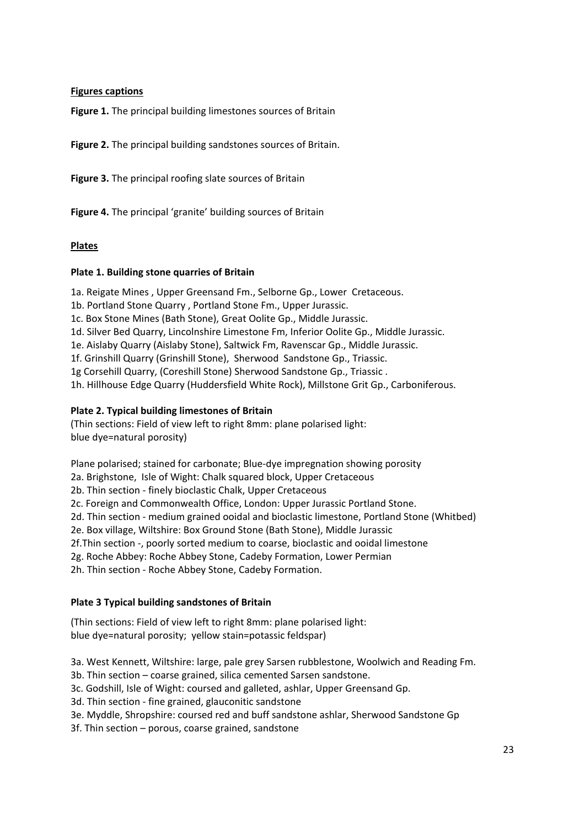## **Figures captions**

**Figure 1.** The principal building limestones sources of Britain

**Figure 2.** The principal building sandstones sources of Britain.

**Figure 3.** The principal roofing slate sources of Britain

**Figure 4.** The principal 'granite' building sources of Britain

## **Plates**

## **Plate 1. Building stone quarries of Britain**

1a. Reigate Mines , Upper Greensand Fm., Selborne Gp., Lower Cretaceous.

1b. Portland Stone Quarry , Portland Stone Fm., Upper Jurassic.

1c. Box Stone Mines (Bath Stone), Great Oolite Gp., Middle Jurassic.

1d. Silver Bed Quarry, Lincolnshire Limestone Fm, Inferior Oolite Gp., Middle Jurassic.

1e. Aislaby Quarry (Aislaby Stone), Saltwick Fm, Ravenscar Gp., Middle Jurassic.

1f. Grinshill Quarry (Grinshill Stone), Sherwood Sandstone Gp., Triassic.

1g Corsehill Quarry, (Coreshill Stone) Sherwood Sandstone Gp., Triassic .

1h. Hillhouse Edge Quarry (Huddersfield White Rock), Millstone Grit Gp., Carboniferous.

## **Plate 2. Typical building limestones of Britain**

(Thin sections: Field of view left to right 8mm: plane polarised light: blue dye=natural porosity)

Plane polarised; stained for carbonate; Blue‐dye impregnation showing porosity

2a. Brighstone, Isle of Wight: Chalk squared block, Upper Cretaceous

2b. Thin section ‐ finely bioclastic Chalk, Upper Cretaceous

2c. Foreign and Commonwealth Office, London: Upper Jurassic Portland Stone.

2d. Thin section ‐ medium grained ooidal and bioclastic limestone, Portland Stone (Whitbed)

2e. Box village, Wiltshire: Box Ground Stone (Bath Stone), Middle Jurassic

2f.Thin section ‐, poorly sorted medium to coarse, bioclastic and ooidal limestone

2g. Roche Abbey: Roche Abbey Stone, Cadeby Formation, Lower Permian

2h. Thin section ‐ Roche Abbey Stone, Cadeby Formation.

## **Plate 3 Typical building sandstones of Britain**

(Thin sections: Field of view left to right 8mm: plane polarised light: blue dye=natural porosity; yellow stain=potassic feldspar)

3a. West Kennett, Wiltshire: large, pale grey Sarsen rubblestone, Woolwich and Reading Fm.

3b. Thin section – coarse grained, silica cemented Sarsen sandstone.

3c. Godshill, Isle of Wight: coursed and galleted, ashlar, Upper Greensand Gp.

3d. Thin section ‐ fine grained, glauconitic sandstone

3e. Myddle, Shropshire: coursed red and buff sandstone ashlar, Sherwood Sandstone Gp

3f. Thin section – porous, coarse grained, sandstone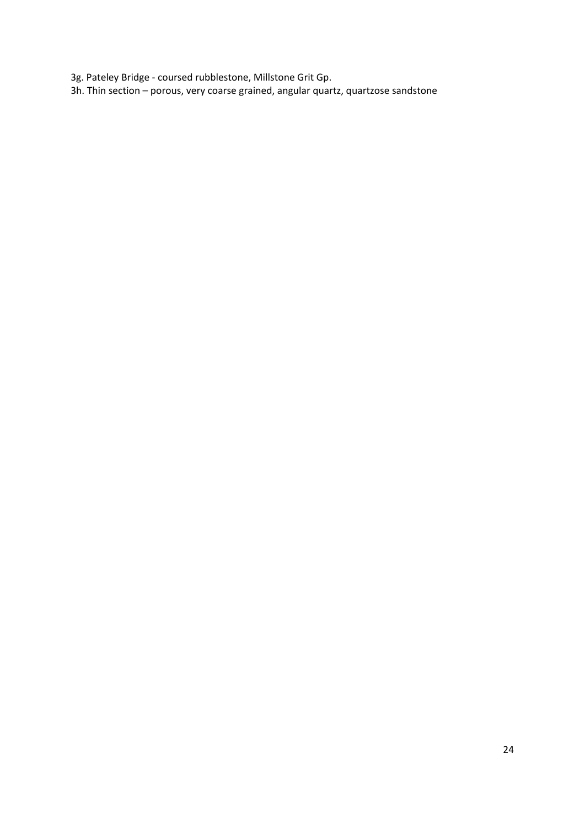3g. Pateley Bridge ‐ coursed rubblestone, Millstone Grit Gp.

3h. Thin section – porous, very coarse grained, angular quartz, quartzose sandstone